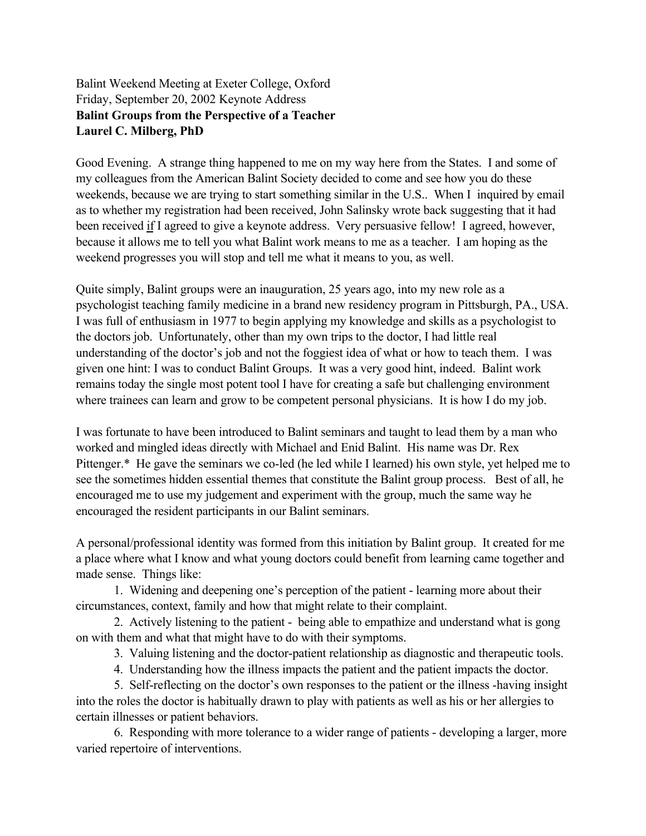## Balint Weekend Meeting at Exeter College, Oxford Friday, September 20, 2002 Keynote Address **Balint Groups from the Perspective of a Teacher Laurel C. Milberg, PhD**

Good Evening. A strange thing happened to me on my way here from the States. I and some of my colleagues from the American Balint Society decided to come and see how you do these weekends, because we are trying to start something similar in the U.S.. When I inquired by email as to whether my registration had been received, John Salinsky wrote back suggesting that it had been received if I agreed to give a keynote address. Very persuasive fellow! I agreed, however, because it allows me to tell you what Balint work means to me as a teacher. I am hoping as the weekend progresses you will stop and tell me what it means to you, as well.

Quite simply, Balint groups were an inauguration, 25 years ago, into my new role as a psychologist teaching family medicine in a brand new residency program in Pittsburgh, PA., USA. I was full of enthusiasm in 1977 to begin applying my knowledge and skills as a psychologist to the doctors job. Unfortunately, other than my own trips to the doctor, I had little real understanding of the doctor's job and not the foggiest idea of what or how to teach them. I was given one hint: I was to conduct Balint Groups. It was a very good hint, indeed. Balint work remains today the single most potent tool I have for creating a safe but challenging environment where trainees can learn and grow to be competent personal physicians. It is how I do my job.

I was fortunate to have been introduced to Balint seminars and taught to lead them by a man who worked and mingled ideas directly with Michael and Enid Balint. His name was Dr. Rex Pittenger.\* He gave the seminars we co-led (he led while I learned) his own style, yet helped me to see the sometimes hidden essential themes that constitute the Balint group process. Best of all, he encouraged me to use my judgement and experiment with the group, much the same way he encouraged the resident participants in our Balint seminars.

A personal/professional identity was formed from this initiation by Balint group. It created for me a place where what I know and what young doctors could benefit from learning came together and made sense. Things like:

1. Widening and deepening one's perception of the patient - learning more about their circumstances, context, family and how that might relate to their complaint.

2. Actively listening to the patient - being able to empathize and understand what is gong on with them and what that might have to do with their symptoms.

3. Valuing listening and the doctor-patient relationship as diagnostic and therapeutic tools.

4. Understanding how the illness impacts the patient and the patient impacts the doctor.

5. Self-reflecting on the doctor's own responses to the patient or the illness -having insight into the roles the doctor is habitually drawn to play with patients as well as his or her allergies to certain illnesses or patient behaviors.

6. Responding with more tolerance to a wider range of patients - developing a larger, more varied repertoire of interventions.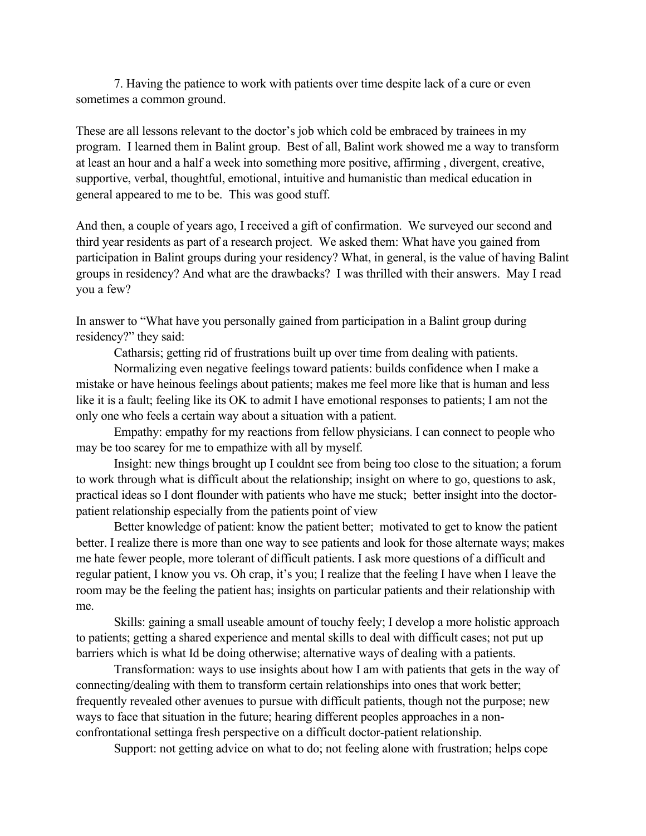7. Having the patience to work with patients over time despite lack of a cure or even sometimes a common ground.

These are all lessons relevant to the doctor's job which cold be embraced by trainees in my program. I learned them in Balint group. Best of all, Balint work showed me a way to transform at least an hour and a half a week into something more positive, affirming , divergent, creative, supportive, verbal, thoughtful, emotional, intuitive and humanistic than medical education in general appeared to me to be. This was good stuff.

And then, a couple of years ago, I received a gift of confirmation. We surveyed our second and third year residents as part of a research project. We asked them: What have you gained from participation in Balint groups during your residency? What, in general, is the value of having Balint groups in residency? And what are the drawbacks? I was thrilled with their answers. May I read you a few?

In answer to "What have you personally gained from participation in a Balint group during residency?" they said:

Catharsis; getting rid of frustrations built up over time from dealing with patients.

Normalizing even negative feelings toward patients: builds confidence when I make a mistake or have heinous feelings about patients; makes me feel more like that is human and less like it is a fault; feeling like its OK to admit I have emotional responses to patients; I am not the only one who feels a certain way about a situation with a patient.

Empathy: empathy for my reactions from fellow physicians. I can connect to people who may be too scarey for me to empathize with all by myself.

Insight: new things brought up I couldnt see from being too close to the situation; a forum to work through what is difficult about the relationship; insight on where to go, questions to ask, practical ideas so I dont flounder with patients who have me stuck; better insight into the doctorpatient relationship especially from the patients point of view

Better knowledge of patient: know the patient better; motivated to get to know the patient better. I realize there is more than one way to see patients and look for those alternate ways; makes me hate fewer people, more tolerant of difficult patients. I ask more questions of a difficult and regular patient, I know you vs. Oh crap, it's you; I realize that the feeling I have when I leave the room may be the feeling the patient has; insights on particular patients and their relationship with me.

Skills: gaining a small useable amount of touchy feely; I develop a more holistic approach to patients; getting a shared experience and mental skills to deal with difficult cases; not put up barriers which is what Id be doing otherwise; alternative ways of dealing with a patients.

Transformation: ways to use insights about how I am with patients that gets in the way of connecting/dealing with them to transform certain relationships into ones that work better; frequently revealed other avenues to pursue with difficult patients, though not the purpose; new ways to face that situation in the future; hearing different peoples approaches in a nonconfrontational settinga fresh perspective on a difficult doctor-patient relationship.

Support: not getting advice on what to do; not feeling alone with frustration; helps cope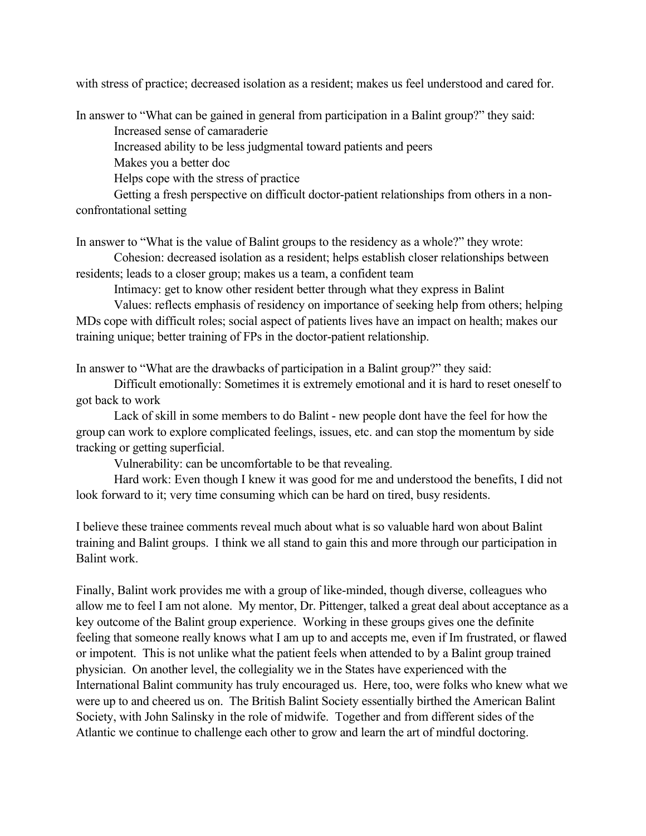with stress of practice; decreased isolation as a resident; makes us feel understood and cared for.

In answer to "What can be gained in general from participation in a Balint group?" they said:

Increased sense of camaraderie

Increased ability to be less judgmental toward patients and peers

Makes you a better doc

Helps cope with the stress of practice

Getting a fresh perspective on difficult doctor-patient relationships from others in a nonconfrontational setting

In answer to "What is the value of Balint groups to the residency as a whole?" they wrote:

Cohesion: decreased isolation as a resident; helps establish closer relationships between residents; leads to a closer group; makes us a team, a confident team

Intimacy: get to know other resident better through what they express in Balint

Values: reflects emphasis of residency on importance of seeking help from others; helping MDs cope with difficult roles; social aspect of patients lives have an impact on health; makes our training unique; better training of FPs in the doctor-patient relationship.

In answer to "What are the drawbacks of participation in a Balint group?" they said:

Difficult emotionally: Sometimes it is extremely emotional and it is hard to reset oneself to got back to work

Lack of skill in some members to do Balint - new people dont have the feel for how the group can work to explore complicated feelings, issues, etc. and can stop the momentum by side tracking or getting superficial.

Vulnerability: can be uncomfortable to be that revealing.

Hard work: Even though I knew it was good for me and understood the benefits, I did not look forward to it; very time consuming which can be hard on tired, busy residents.

I believe these trainee comments reveal much about what is so valuable hard won about Balint training and Balint groups. I think we all stand to gain this and more through our participation in Balint work.

Finally, Balint work provides me with a group of like-minded, though diverse, colleagues who allow me to feel I am not alone. My mentor, Dr. Pittenger, talked a great deal about acceptance as a key outcome of the Balint group experience. Working in these groups gives one the definite feeling that someone really knows what I am up to and accepts me, even if Im frustrated, or flawed or impotent. This is not unlike what the patient feels when attended to by a Balint group trained physician. On another level, the collegiality we in the States have experienced with the International Balint community has truly encouraged us. Here, too, were folks who knew what we were up to and cheered us on. The British Balint Society essentially birthed the American Balint Society, with John Salinsky in the role of midwife. Together and from different sides of the Atlantic we continue to challenge each other to grow and learn the art of mindful doctoring.